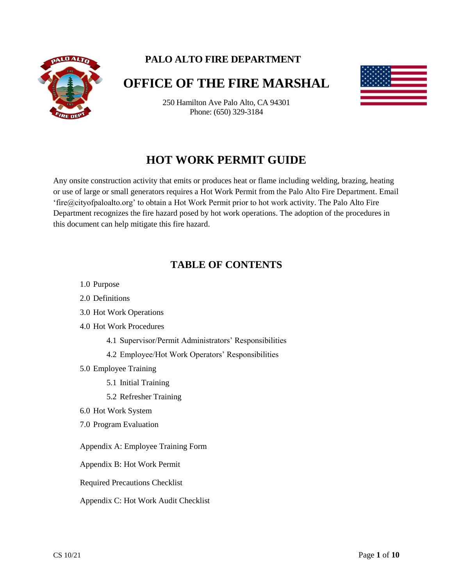

# **PALO ALTO FIRE DEPARTMENT**

# **OFFICE OF THE FIRE MARSHAL**

250 Hamilton Ave Palo Alto, CA 94301 Phone: (650) 329-3184

# **HOT WORK PERMIT GUIDE**

Any onsite construction activity that emits or produces heat or flame including welding, brazing, heating or use of large or small generators requires a Hot Work Permit from the Palo Alto Fire Department. Email 'fire@cityofpaloalto.org' to obtain a Hot Work Permit prior to hot work activity. The Palo Alto Fire Department recognizes the fire hazard posed by hot work operations. The adoption of the procedures in this document can help mitigate this fire hazard.

# **TABLE OF CONTENTS**

- 1.0 Purpose
- 2.0 Definitions
- 3.0 Hot Work Operations
- 4.0 Hot Work Procedures
	- 4.1 Supervisor/Permit Administrators' Responsibilities
	- 4.2 Employee/Hot Work Operators' Responsibilities
- 5.0 Employee Training
	- 5.1 Initial Training
	- 5.2 Refresher Training
- 6.0 Hot Work System
- 7.0 Program Evaluation
- Appendix A: Employee Training Form
- Appendix B: Hot Work Permit
- Required Precautions Checklist
- Appendix C: Hot Work Audit Checklist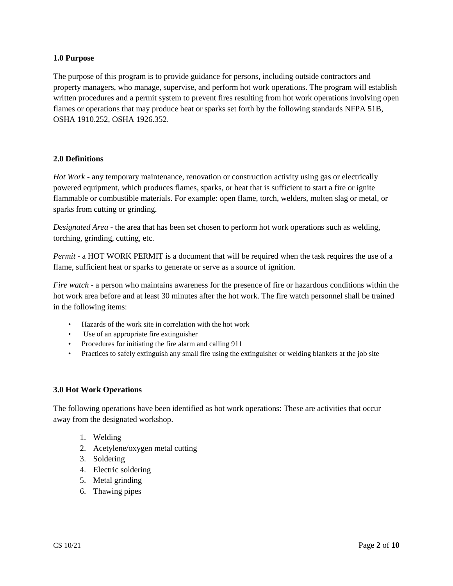## **1.0 Purpose**

The purpose of this program is to provide guidance for persons, including outside contractors and property managers, who manage, supervise, and perform hot work operations. The program will establish written procedures and a permit system to prevent fires resulting from hot work operations involving open flames or operations that may produce heat or sparks set forth by the following standards NFPA 51B, OSHA 1910.252, OSHA 1926.352.

### **2.0 Definitions**

*Hot Work* - any temporary maintenance, renovation or construction activity using gas or electrically powered equipment, which produces flames, sparks, or heat that is sufficient to start a fire or ignite flammable or combustible materials. For example: open flame, torch, welders, molten slag or metal, or sparks from cutting or grinding.

*Designated Area* - the area that has been set chosen to perform hot work operations such as welding, torching, grinding, cutting, etc.

*Permit* - a HOT WORK PERMIT is a document that will be required when the task requires the use of a flame, sufficient heat or sparks to generate or serve as a source of ignition.

*Fire watch* - a person who maintains awareness for the presence of fire or hazardous conditions within the hot work area before and at least 30 minutes after the hot work. The fire watch personnel shall be trained in the following items:

- Hazards of the work site in correlation with the hot work
- Use of an appropriate fire extinguisher
- Procedures for initiating the fire alarm and calling 911
- Practices to safely extinguish any small fire using the extinguisher or welding blankets at the job site

#### **3.0 Hot Work Operations**

The following operations have been identified as hot work operations: These are activities that occur away from the designated workshop.

- 1. Welding
- 2. Acetylene/oxygen metal cutting
- 3. Soldering
- 4. Electric soldering
- 5. Metal grinding
- 6. Thawing pipes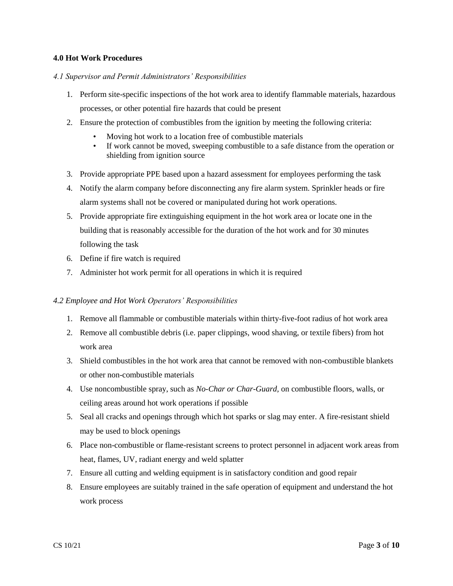## **4.0 Hot Work Procedures**

#### *4.1 Supervisor and Permit Administrators' Responsibilities*

- 1. Perform site-specific inspections of the hot work area to identify flammable materials, hazardous processes, or other potential fire hazards that could be present
- 2. Ensure the protection of combustibles from the ignition by meeting the following criteria:
	- Moving hot work to a location free of combustible materials
	- If work cannot be moved, sweeping combustible to a safe distance from the operation or shielding from ignition source
- 3. Provide appropriate PPE based upon a hazard assessment for employees performing the task
- 4. Notify the alarm company before disconnecting any fire alarm system. Sprinkler heads or fire alarm systems shall not be covered or manipulated during hot work operations.
- 5. Provide appropriate fire extinguishing equipment in the hot work area or locate one in the building that is reasonably accessible for the duration of the hot work and for 30 minutes following the task
- 6. Define if fire watch is required
- 7. Administer hot work permit for all operations in which it is required

#### *4.2 Employee and Hot Work Operators' Responsibilities*

- 1. Remove all flammable or combustible materials within thirty-five-foot radius of hot work area
- 2. Remove all combustible debris (i.e. paper clippings, wood shaving, or textile fibers) from hot work area
- 3. Shield combustibles in the hot work area that cannot be removed with non-combustible blankets or other non-combustible materials
- 4. Use noncombustible spray, such as *No-Char or Char-Guard,* on combustible floors, walls, or ceiling areas around hot work operations if possible
- 5. Seal all cracks and openings through which hot sparks or slag may enter. A fire-resistant shield may be used to block openings
- 6. Place non-combustible or flame-resistant screens to protect personnel in adjacent work areas from heat, flames, UV, radiant energy and weld splatter
- 7. Ensure all cutting and welding equipment is in satisfactory condition and good repair
- 8. Ensure employees are suitably trained in the safe operation of equipment and understand the hot work process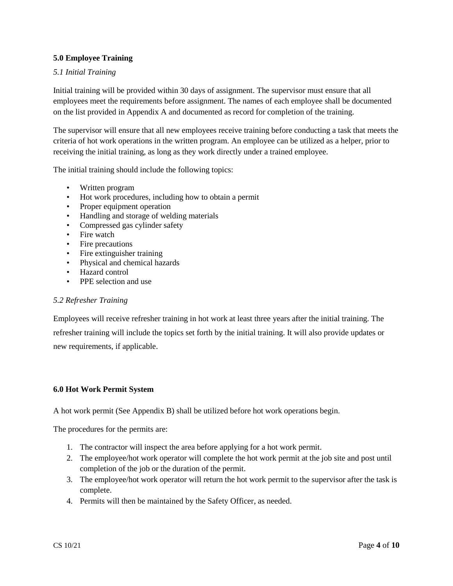# **5.0 Employee Training**

# *5.1 Initial Training*

Initial training will be provided within 30 days of assignment. The supervisor must ensure that all employees meet the requirements before assignment. The names of each employee shall be documented on the list provided in Appendix A and documented as record for completion of the training.

The supervisor will ensure that all new employees receive training before conducting a task that meets the criteria of hot work operations in the written program. An employee can be utilized as a helper, prior to receiving the initial training, as long as they work directly under a trained employee.

The initial training should include the following topics:

- Written program
- Hot work procedures, including how to obtain a permit
- Proper equipment operation
- Handling and storage of welding materials
- Compressed gas cylinder safety
- Fire watch
- Fire precautions
- Fire extinguisher training
- Physical and chemical hazards
- Hazard control
- PPE selection and use

#### *5.2 Refresher Training*

Employees will receive refresher training in hot work at least three years after the initial training. The refresher training will include the topics set forth by the initial training. It will also provide updates or new requirements, if applicable.

#### **6.0 Hot Work Permit System**

A hot work permit (See Appendix B) shall be utilized before hot work operations begin.

The procedures for the permits are:

- 1. The contractor will inspect the area before applying for a hot work permit.
- 2. The employee/hot work operator will complete the hot work permit at the job site and post until completion of the job or the duration of the permit.
- 3. The employee/hot work operator will return the hot work permit to the supervisor after the task is complete.
- 4. Permits will then be maintained by the Safety Officer, as needed.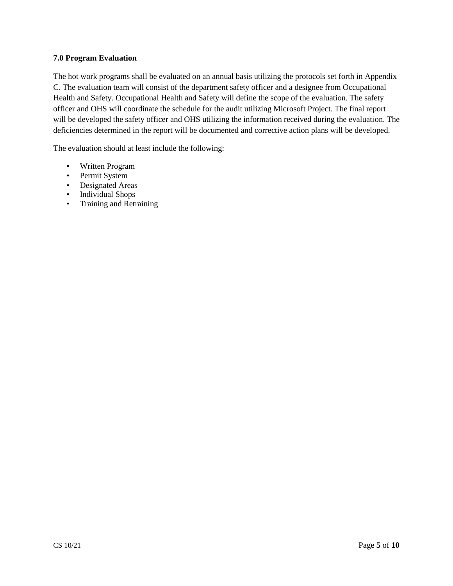# **7.0 Program Evaluation**

The hot work programs shall be evaluated on an annual basis utilizing the protocols set forth in Appendix C. The evaluation team will consist of the department safety officer and a designee from Occupational Health and Safety. Occupational Health and Safety will define the scope of the evaluation. The safety officer and OHS will coordinate the schedule for the audit utilizing Microsoft Project. The final report will be developed the safety officer and OHS utilizing the information received during the evaluation. The deficiencies determined in the report will be documented and corrective action plans will be developed.

The evaluation should at least include the following:

- Written Program
- Permit System
- Designated Areas
- Individual Shops
- Training and Retraining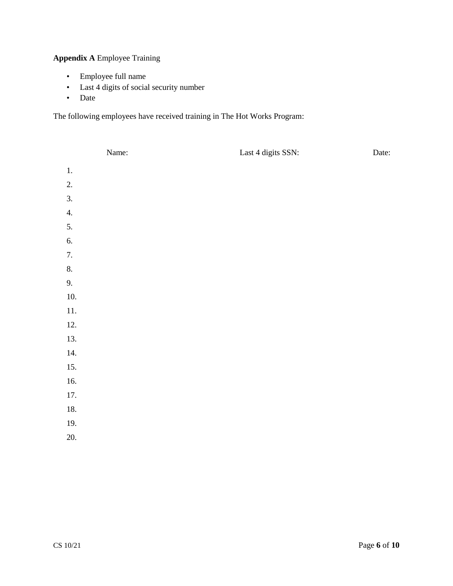# **Appendix A** Employee Training

- Employee full name
- Last 4 digits of social security number
- Date

The following employees have received training in The Hot Works Program:

|          | Name: | Last 4 digits SSN: | Date: |
|----------|-------|--------------------|-------|
| $1. \,$  |       |                    |       |
| 2.       |       |                    |       |
| 3.       |       |                    |       |
| 4.       |       |                    |       |
| 5.       |       |                    |       |
| 6.       |       |                    |       |
| 7.       |       |                    |       |
| 8.       |       |                    |       |
| 9.       |       |                    |       |
| $10. \,$ |       |                    |       |
| 11.      |       |                    |       |
| 12.      |       |                    |       |
| 13.      |       |                    |       |
| 14.      |       |                    |       |
| 15.      |       |                    |       |
| 16.      |       |                    |       |
| 17.      |       |                    |       |
| $18. \,$ |       |                    |       |
| 19.      |       |                    |       |
| 20.      |       |                    |       |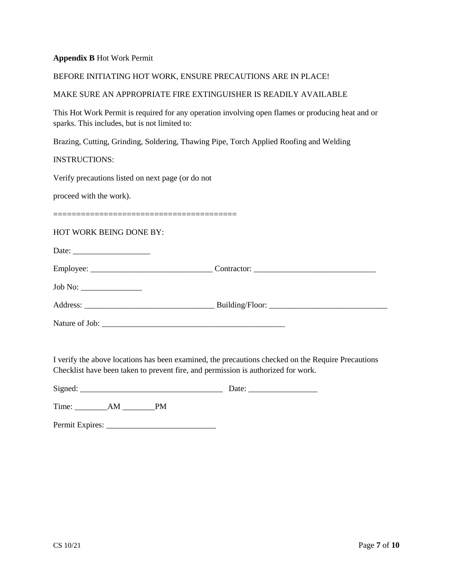### **Appendix B** Hot Work Permit

#### BEFORE INITIATING HOT WORK, ENSURE PRECAUTIONS ARE IN PLACE!

## MAKE SURE AN APPROPRIATE FIRE EXTINGUISHER IS READILY AVAILABLE

This Hot Work Permit is required for any operation involving open flames or producing heat and or sparks. This includes, but is not limited to:

Brazing, Cutting, Grinding, Soldering, Thawing Pipe, Torch Applied Roofing and Welding

### INSTRUCTIONS:

Verify precautions listed on next page (or do not

proceed with the work).

========================================

## HOT WORK BEING DONE BY:

Date: \_\_\_\_\_\_\_\_\_\_\_\_\_\_\_\_\_\_\_ Employee: \_\_\_\_\_\_\_\_\_\_\_\_\_\_\_\_\_\_\_\_\_\_\_\_\_\_\_\_\_\_ Contractor: \_\_\_\_\_\_\_\_\_\_\_\_\_\_\_\_\_\_\_\_\_\_\_\_\_\_\_\_\_\_ Job No: \_\_\_\_\_\_\_\_\_\_\_\_\_\_\_ Address: \_\_\_\_\_\_\_\_\_\_\_\_\_\_\_\_\_\_\_\_\_\_\_\_\_\_\_\_\_\_\_\_ Building/Floor: \_\_\_\_\_\_\_\_\_\_\_\_\_\_\_\_\_\_\_\_\_\_\_\_\_\_\_\_\_

Nature of Job: \_\_\_\_\_\_\_\_\_\_\_\_\_\_\_\_\_\_\_\_\_\_\_\_\_\_\_\_\_\_\_\_\_\_\_\_\_\_\_\_\_\_\_\_\_

I verify the above locations has been examined, the precautions checked on the Require Precautions Checklist have been taken to prevent fire, and permission is authorized for work.

Signed: \_\_\_\_\_\_\_\_\_\_\_\_\_\_\_\_\_\_\_\_\_\_\_\_\_\_\_\_\_\_\_\_\_\_\_ Date: \_\_\_\_\_\_\_\_\_\_\_\_\_\_\_\_\_

Time: \_\_\_\_\_\_\_\_AM \_\_\_\_\_\_\_\_PM

Permit Expires: \_\_\_\_\_\_\_\_\_\_\_\_\_\_\_\_\_\_\_\_\_\_\_\_\_\_\_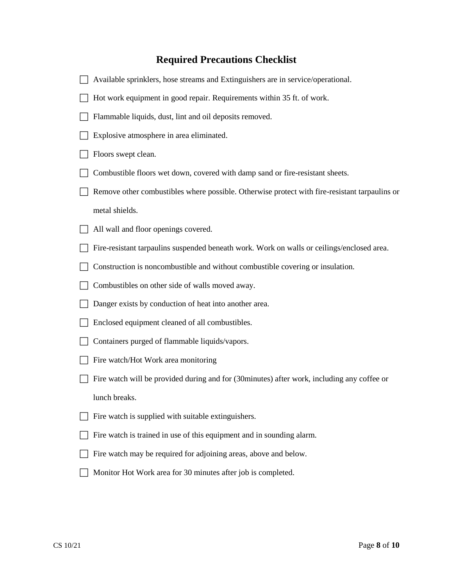# **Required Precautions Checklist**

| Available sprinklers, hose streams and Extinguishers are in service/operational.              |
|-----------------------------------------------------------------------------------------------|
| Hot work equipment in good repair. Requirements within 35 ft. of work.                        |
| Flammable liquids, dust, lint and oil deposits removed.                                       |
| Explosive atmosphere in area eliminated.                                                      |
| Floors swept clean.                                                                           |
| Combustible floors wet down, covered with damp sand or fire-resistant sheets.                 |
| Remove other combustibles where possible. Otherwise protect with fire-resistant tarpaulins or |
| metal shields.                                                                                |
| All wall and floor openings covered.                                                          |
| Fire-resistant tarpaulins suspended beneath work. Work on walls or ceilings/enclosed area.    |
| Construction is noncombustible and without combustible covering or insulation.                |
| Combustibles on other side of walls moved away.                                               |
| Danger exists by conduction of heat into another area.                                        |
| Enclosed equipment cleaned of all combustibles.                                               |
| Containers purged of flammable liquids/vapors.                                                |
| Fire watch/Hot Work area monitoring                                                           |
| Fire watch will be provided during and for (30 minutes) after work, including any coffee or   |
| lunch breaks.                                                                                 |
| Fire watch is supplied with suitable extinguishers.                                           |
| Fire watch is trained in use of this equipment and in sounding alarm.                         |
| Fire watch may be required for adjoining areas, above and below.                              |
| Monitor Hot Work area for 30 minutes after job is completed.                                  |
|                                                                                               |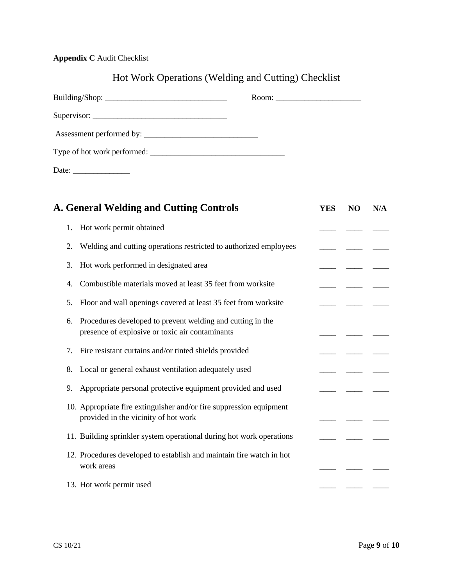# **Appendix C** Audit Checklist

# Hot Work Operations (Welding and Cutting) Checklist

| <b>A. General Welding and Cutting Controls</b> |                                                                                                               | <b>YES</b> | N <sub>O</sub> | N/A |
|------------------------------------------------|---------------------------------------------------------------------------------------------------------------|------------|----------------|-----|
| 1.                                             | Hot work permit obtained                                                                                      |            |                |     |
| 2.                                             | Welding and cutting operations restricted to authorized employees                                             |            |                |     |
| 3.                                             | Hot work performed in designated area                                                                         |            |                |     |
| 4.                                             | Combustible materials moved at least 35 feet from worksite                                                    |            |                |     |
| 5.                                             | Floor and wall openings covered at least 35 feet from worksite                                                |            |                |     |
| 6.                                             | Procedures developed to prevent welding and cutting in the<br>presence of explosive or toxic air contaminants |            |                |     |
| 7.                                             | Fire resistant curtains and/or tinted shields provided                                                        |            |                |     |
| 8.                                             | Local or general exhaust ventilation adequately used                                                          |            |                |     |
| 9.                                             | Appropriate personal protective equipment provided and used                                                   |            |                |     |
|                                                | 10. Appropriate fire extinguisher and/or fire suppression equipment<br>provided in the vicinity of hot work   |            |                |     |
|                                                | 11. Building sprinkler system operational during hot work operations                                          |            |                |     |
|                                                | 12. Procedures developed to establish and maintain fire watch in hot<br>work areas                            |            |                |     |
|                                                | 13. Hot work permit used                                                                                      |            |                |     |